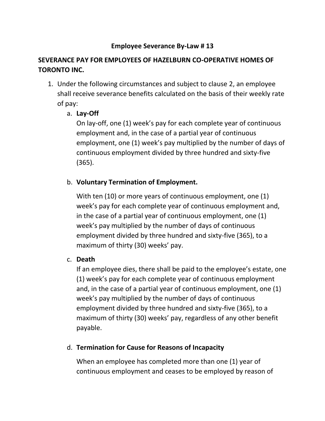#### **Employee Severance By-Law # 13**

# **SEVERANCE PAY FOR EMPLOYEES OF HAZELBURN CO-OPERATIVE HOMES OF TORONTO INC.**

1. Under the following circumstances and subject to clause 2, an employee shall receive severance benefits calculated on the basis of their weekly rate of pay:

## a. **Lay-Off**

On lay-off, one (1) week's pay for each complete year of continuous employment and, in the case of a partial year of continuous employment, one (1) week's pay multiplied by the number of days of continuous employment divided by three hundred and sixty-five (365).

## b. **Voluntary Termination of Employment.**

With ten (10) or more years of continuous employment, one (1) week's pay for each complete year of continuous employment and, in the case of a partial year of continuous employment, one (1) week's pay multiplied by the number of days of continuous employment divided by three hundred and sixty-five (365), to a maximum of thirty (30) weeks' pay.

#### c. **Death**

If an employee dies, there shall be paid to the employee's estate, one (1) week's pay for each complete year of continuous employment and, in the case of a partial year of continuous employment, one (1) week's pay multiplied by the number of days of continuous employment divided by three hundred and sixty-five (365), to a maximum of thirty (30) weeks' pay, regardless of any other benefit payable.

#### d. **Termination for Cause for Reasons of Incapacity**

When an employee has completed more than one (1) year of continuous employment and ceases to be employed by reason of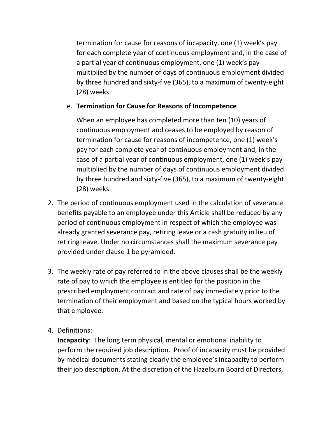termination for cause for reasons of incapacity, one (1) week's pay for each complete year of continuous employment and, in the case of a partial year of continuous employment, one (1) week's pay multiplied by the number of days of continuous employment divided by three hundred and sixty-five (365), to a maximum of twenty-eight (28) weeks.

## e. **Termination for Cause for Reasons of Incompetence**

When an employee has completed more than ten (10) years of continuous employment and ceases to be employed by reason of termination for cause for reasons of incompetence, one (1) week's pay for each complete year of continuous employment and, in the case of a partial year of continuous employment, one (1) week's pay multiplied by the number of days of continuous employment divided by three hundred and sixty-five (365), to a maximum of twenty-eight (28) weeks.

- 2. The period of continuous employment used in the calculation of severance benefits payable to an employee under this Article shall be reduced by any period of continuous employment in respect of which the employee was already granted severance pay, retiring leave or a cash gratuity in lieu of retiring leave. Under no circumstances shall the maximum severance pay provided under clause 1 be pyramided.
- 3. The weekly rate of pay referred to in the above clauses shall be the weekly rate of pay to which the employee is entitled for the position in the prescribed employment contract and rate of pay immediately prior to the termination of their employment and based on the typical hours worked by that employee.
- 4. Definitions:

**Incapacity**: The long term physical, mental or emotional inability to perform the required job description. Proof of incapacity must be provided by medical documents stating clearly the employee's incapacity to perform their job description. At the discretion of the Hazelburn Board of Directors,